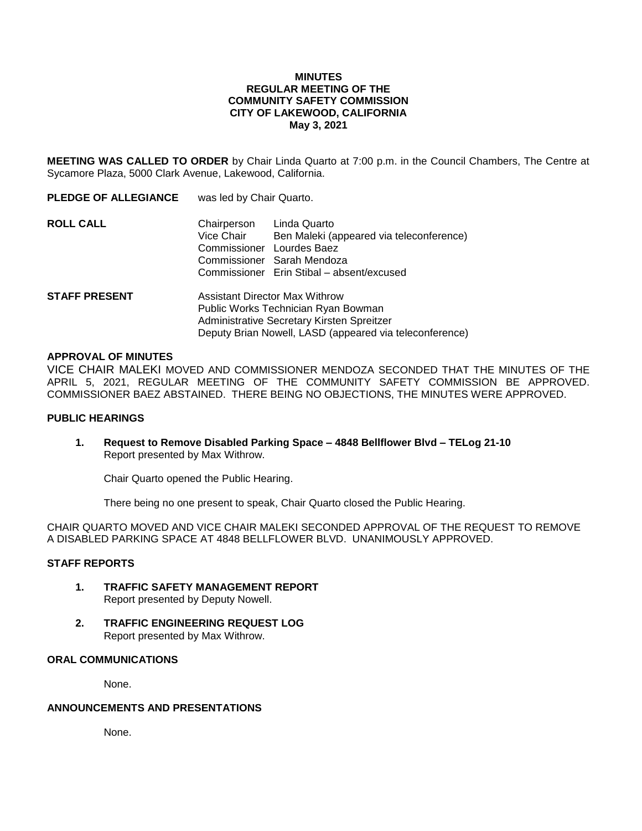#### **MINUTES REGULAR MEETING OF THE COMMUNITY SAFETY COMMISSION CITY OF LAKEWOOD, CALIFORNIA May 3, 2021**

**MEETING WAS CALLED TO ORDER** by Chair Linda Quarto at 7:00 p.m. in the Council Chambers, The Centre at Sycamore Plaza, 5000 Clark Avenue, Lakewood, California.

| <b>PLEDGE OF ALLEGIANCE</b> | was led by Chair Quarto.                                                                                                                                                       |                                                                                                                                     |
|-----------------------------|--------------------------------------------------------------------------------------------------------------------------------------------------------------------------------|-------------------------------------------------------------------------------------------------------------------------------------|
| <b>ROLL CALL</b>            | Chairperson<br>Vice Chair<br>Commissioner Lourdes Baez                                                                                                                         | Linda Quarto<br>Ben Maleki (appeared via teleconference)<br>Commissioner Sarah Mendoza<br>Commissioner Erin Stibal – absent/excused |
| <b>STAFF PRESENT</b>        | Assistant Director Max Withrow<br>Public Works Technician Ryan Bowman<br>Administrative Secretary Kirsten Spreitzer<br>Deputy Brian Nowell, LASD (appeared via teleconference) |                                                                                                                                     |

#### **APPROVAL OF MINUTES**

VICE CHAIR MALEKI MOVED AND COMMISSIONER MENDOZA SECONDED THAT THE MINUTES OF THE APRIL 5, 2021, REGULAR MEETING OF THE COMMUNITY SAFETY COMMISSION BE APPROVED. COMMISSIONER BAEZ ABSTAINED. THERE BEING NO OBJECTIONS, THE MINUTES WERE APPROVED.

#### **PUBLIC HEARINGS**

**1. Request to Remove Disabled Parking Space – 4848 Bellflower Blvd – TELog 21-10** Report presented by Max Withrow.

Chair Quarto opened the Public Hearing.

There being no one present to speak, Chair Quarto closed the Public Hearing.

CHAIR QUARTO MOVED AND VICE CHAIR MALEKI SECONDED APPROVAL OF THE REQUEST TO REMOVE A DISABLED PARKING SPACE AT 4848 BELLFLOWER BLVD. UNANIMOUSLY APPROVED.

#### **STAFF REPORTS**

- **1. TRAFFIC SAFETY MANAGEMENT REPORT** Report presented by Deputy Nowell.
- **2. TRAFFIC ENGINEERING REQUEST LOG** Report presented by Max Withrow.

### **ORAL COMMUNICATIONS**

None.

# **ANNOUNCEMENTS AND PRESENTATIONS**

None.